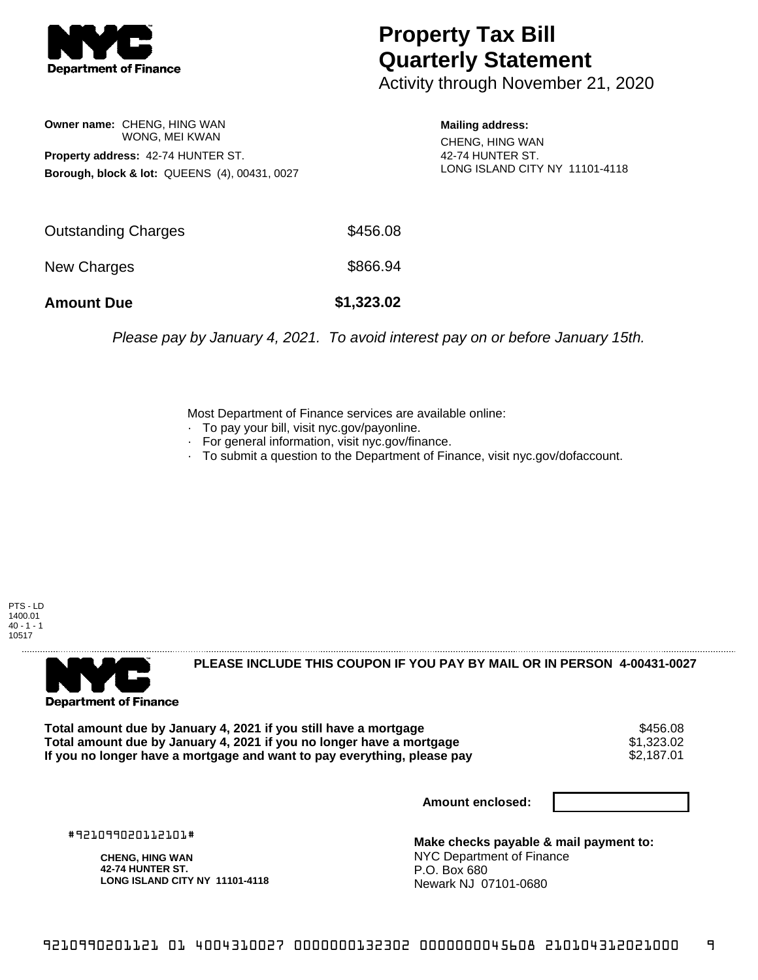

## **Property Tax Bill Quarterly Statement**

Activity through November 21, 2020

**Owner name:** CHENG, HING WAN WONG, MEI KWAN **Property address:** 42-74 HUNTER ST. **Borough, block & lot:** QUEENS (4), 00431, 0027

**Mailing address:**

CHENG, HING WAN 42-74 HUNTER ST. LONG ISLAND CITY NY 11101-4118

| <b>Amount Due</b>   | \$1,323.02 |
|---------------------|------------|
| New Charges         | \$866.94   |
| Outstanding Charges | \$456.08   |

Please pay by January 4, 2021. To avoid interest pay on or before January 15th.

Most Department of Finance services are available online:

- · To pay your bill, visit nyc.gov/payonline.
- For general information, visit nyc.gov/finance.
- · To submit a question to the Department of Finance, visit nyc.gov/dofaccount.





**PLEASE INCLUDE THIS COUPON IF YOU PAY BY MAIL OR IN PERSON 4-00431-0027** 

**Total amount due by January 4, 2021 if you still have a mortgage**  $$456.08$ **<br>Total amount due by January 4, 2021 if you no longer have a mortgage**  $$1,323.02$ **Total amount due by January 4, 2021 if you no longer have a mortgage**  $$1,323.02$ **<br>If you no longer have a mortgage and want to pay everything, please pay**  $$2,187.01$ If you no longer have a mortgage and want to pay everything, please pay

**Amount enclosed:**

#921099020112101#

**CHENG, HING WAN 42-74 HUNTER ST. LONG ISLAND CITY NY 11101-4118**

**Make checks payable & mail payment to:** NYC Department of Finance P.O. Box 680 Newark NJ 07101-0680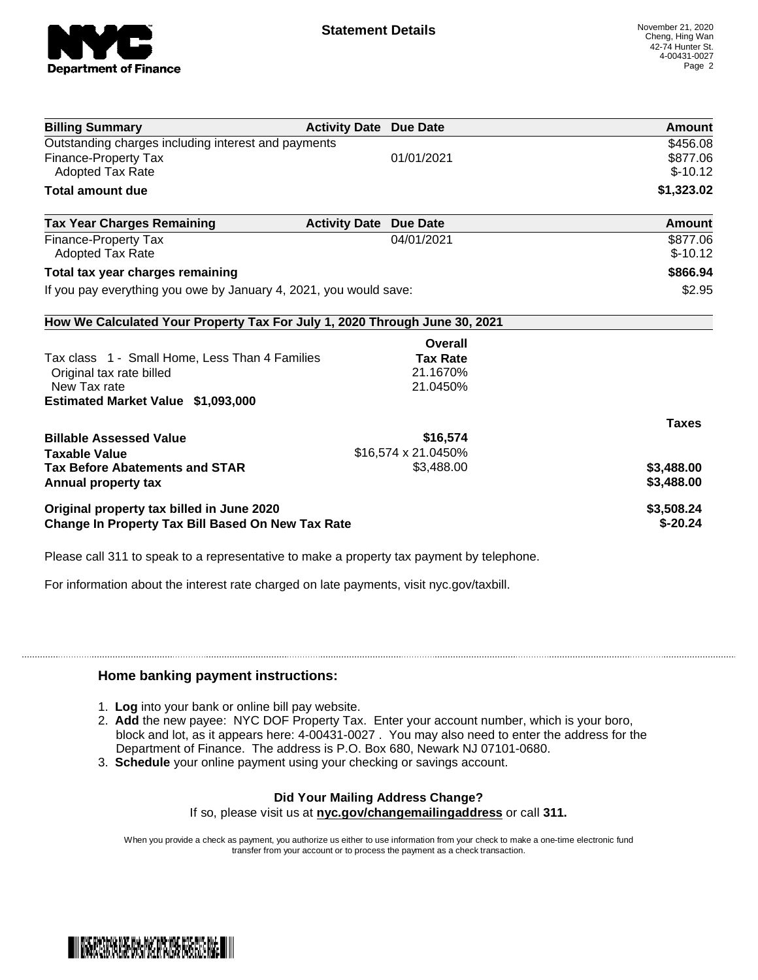

| <b>Billing Summary</b>                                                     | <b>Activity Date Due Date</b> |                     | Amount        |
|----------------------------------------------------------------------------|-------------------------------|---------------------|---------------|
| Outstanding charges including interest and payments                        |                               |                     | \$456.08      |
| <b>Finance-Property Tax</b>                                                |                               | 01/01/2021          | \$877.06      |
| <b>Adopted Tax Rate</b>                                                    |                               |                     | $$-10.12$     |
| <b>Total amount due</b>                                                    |                               |                     | \$1,323.02    |
| <b>Tax Year Charges Remaining</b>                                          | <b>Activity Date</b>          | <b>Due Date</b>     | <b>Amount</b> |
| <b>Finance-Property Tax</b>                                                |                               | 04/01/2021          | \$877.06      |
| <b>Adopted Tax Rate</b>                                                    |                               |                     | $$-10.12$     |
| Total tax year charges remaining                                           |                               |                     | \$866.94      |
| If you pay everything you owe by January 4, 2021, you would save:          |                               |                     | \$2.95        |
| How We Calculated Your Property Tax For July 1, 2020 Through June 30, 2021 |                               |                     |               |
|                                                                            |                               | Overall             |               |
| Tax class 1 - Small Home, Less Than 4 Families                             |                               | <b>Tax Rate</b>     |               |
| Original tax rate billed                                                   |                               | 21.1670%            |               |
| New Tax rate                                                               |                               | 21.0450%            |               |
| Estimated Market Value \$1,093,000                                         |                               |                     |               |
|                                                                            |                               |                     | <b>Taxes</b>  |
| <b>Billable Assessed Value</b>                                             |                               | \$16,574            |               |
| <b>Taxable Value</b>                                                       |                               | \$16,574 x 21.0450% |               |
| <b>Tax Before Abatements and STAR</b>                                      |                               | \$3,488.00          | \$3,488.00    |
| Annual property tax                                                        |                               |                     | \$3,488.00    |
| Original property tax billed in June 2020                                  |                               |                     | \$3,508.24    |
| Change In Property Tax Bill Based On New Tax Rate                          |                               |                     | $$-20.24$     |

Please call 311 to speak to a representative to make a property tax payment by telephone.

For information about the interest rate charged on late payments, visit nyc.gov/taxbill.

## **Home banking payment instructions:**

- 1. **Log** into your bank or online bill pay website.
- 2. **Add** the new payee: NYC DOF Property Tax. Enter your account number, which is your boro, block and lot, as it appears here: 4-00431-0027 . You may also need to enter the address for the Department of Finance. The address is P.O. Box 680, Newark NJ 07101-0680.
- 3. **Schedule** your online payment using your checking or savings account.

## **Did Your Mailing Address Change?**

If so, please visit us at **nyc.gov/changemailingaddress** or call **311.**

When you provide a check as payment, you authorize us either to use information from your check to make a one-time electronic fund transfer from your account or to process the payment as a check transaction.